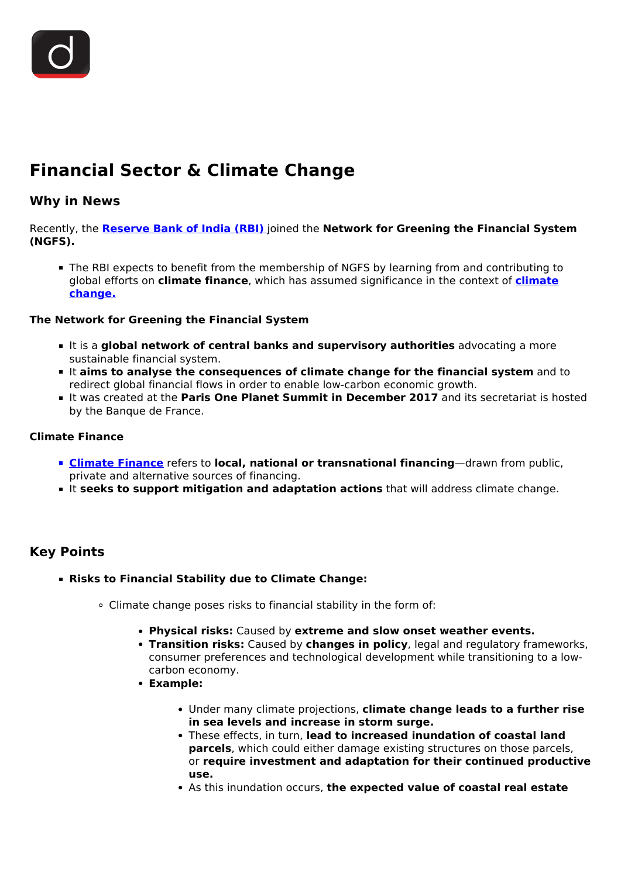

# **Financial Sector & Climate Change**

### **Why in News**

Recently, the **[Reserve Bank of India \(RBI\)](/important-institutions/drishti-specials-important-institutions-national-institutions/important-institutions-national-institution-reserve-bank-of-india)** joined the **Network for Greening the Financial System (NGFS).**

The RBI expects to benefit from the membership of NGFS by learning from and contributing to global efforts on **climate finance**, which has assumed significance in the context of **[climate](/daily-updates/daily-news-editorials/climate-change-and-development-in-india) [change.](/daily-updates/daily-news-editorials/climate-change-and-development-in-india)**

#### **The Network for Greening the Financial System**

- **It is a global network of central banks and supervisory authorities** advocating a more sustainable financial system.
- It **aims to analyse the consequences of climate change for the financial system** and to redirect global financial flows in order to enable low-carbon economic growth.
- It was created at the **Paris One Planet Summit in December 2017** and its secretariat is hosted by the Banque de France.

#### **Climate Finance**

- **[Climate Finance](/to-the-points/paper3/climate-finance-1)** refers to **local, national or transnational financing**—drawn from public, private and alternative sources of financing.
- **It seeks to support mitigation and adaptation actions** that will address climate change.

## **Key Points**

- **Risks to Financial Stability due to Climate Change:**
	- Climate change poses risks to financial stability in the form of:
		- **Physical risks:** Caused by **extreme and slow onset weather events.**
		- **Transition risks:** Caused by **changes in policy**, legal and regulatory frameworks, consumer preferences and technological development while transitioning to a lowcarbon economy.
		- **Example:**
			- Under many climate projections, **climate change leads to a further rise in sea levels and increase in storm surge.**
			- These effects, in turn, **lead to increased inundation of coastal land parcels**, which could either damage existing structures on those parcels, or **require investment and adaptation for their continued productive use.**
			- As this inundation occurs, **the expected value of coastal real estate**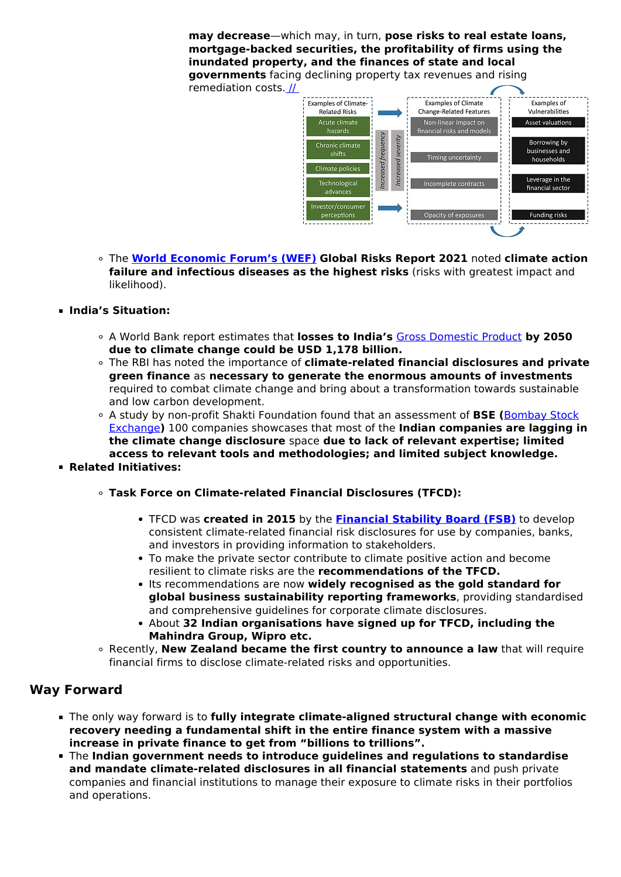**may decrease**—which may, in turn, **pose risks to real estate loans, mortgage-backed securities, the profitability of firms using the inundated property, and the finances of state and local governments** facing declining property tax revenues and rising

remediation costs. [//](https://www.drishtiias.com/images/uploads/1620120884_image%201.jpg) 



The **[World Economic Forum's \(WEF\)](/daily-updates/daily-news-analysis/global-gender-gap-report-2021-wef) Global Risks Report 2021** noted **climate action failure and infectious diseases as the highest risks** (risks with greatest impact and likelihood).

#### **India's Situation:**

- A World Bank report estimates that **losses to India's** [Gross Domestic Product](/daily-updates/daily-news-analysis/gdp-decreases-to-11-year-low) **by 2050 due to climate change could be USD 1,178 billion.**
- The RBI has noted the importance of **climate-related financial disclosures and private green finance** as **necessary to generate the enormous amounts of investments** required to combat climate change and bring about a transformation towards sustainable and low carbon development.
- A study by non-profit Shakti Foundation found that an assessment of **BSE (**[Bombay Stock](/daily-updates/daily-news-analysis/social-stock-exchange) [Exchange](/daily-updates/daily-news-analysis/social-stock-exchange)**)** 100 companies showcases that most of the **Indian companies are lagging in the climate change disclosure** space **due to lack of relevant expertise; limited access to relevant tools and methodologies; and limited subject knowledge.**
- **Related Initiatives:**
	- **Task Force on Climate-related Financial Disclosures (TFCD):**
		- TFCD was **created in 2015** by the **[Financial Stability Board \(FSB\)](/daily-updates/daily-news-analysis/domestic-systemically-important-banks#:~:text=Financial%20Stability%20Board%20(FSB)%20is,assessing%20and%20identifying%20G%2DSIBs.)** to develop consistent climate-related financial risk disclosures for use by companies, banks, and investors in providing information to stakeholders.
		- To make the private sector contribute to climate positive action and become resilient to climate risks are the **recommendations of the TFCD.**
		- **Its recommendations are now widely recognised as the gold standard for global business sustainability reporting frameworks**, providing standardised and comprehensive guidelines for corporate climate disclosures.
		- About **32 Indian organisations have signed up for TFCD, including the Mahindra Group, Wipro etc.**
	- Recently, **New Zealand became the first country to announce a law** that will require financial firms to disclose climate-related risks and opportunities.

## **Way Forward**

- The only way forward is to **fully integrate climate-aligned structural change with economic recovery needing a fundamental shift in the entire finance system with a massive increase in private finance to get from "billions to trillions".**
- The **Indian government needs to introduce guidelines and regulations to standardise and mandate climate-related disclosures in all financial statements** and push private companies and financial institutions to manage their exposure to climate risks in their portfolios and operations.